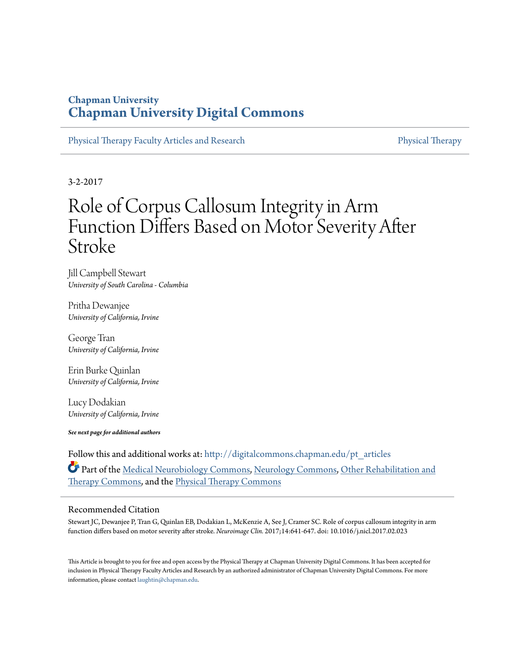# **Chapman University [Chapman University Digital Commons](http://digitalcommons.chapman.edu?utm_source=digitalcommons.chapman.edu%2Fpt_articles%2F55&utm_medium=PDF&utm_campaign=PDFCoverPages)**

[Physical Therapy Faculty Articles and Research](http://digitalcommons.chapman.edu/pt_articles?utm_source=digitalcommons.chapman.edu%2Fpt_articles%2F55&utm_medium=PDF&utm_campaign=PDFCoverPages) **[Physical Therapy](http://digitalcommons.chapman.edu/physicaltherapy?utm_source=digitalcommons.chapman.edu%2Fpt_articles%2F55&utm_medium=PDF&utm_campaign=PDFCoverPages)** Physical Therapy

3-2-2017

# Role of Corpus Callosum Integrity in Arm Function Differs Based on Motor Severity After Stroke

Jill Campbell Stewart *University of South Carolina - Columbia*

Pritha Dewanjee *University of California, Irvine*

George Tran *University of California, Irvine*

Erin Burke Quinlan *University of California, Irvine*

Lucy Dodakian *University of California, Irvine*

*See next page for additional authors*

Follow this and additional works at: [http://digitalcommons.chapman.edu/pt\\_articles](http://digitalcommons.chapman.edu/pt_articles?utm_source=digitalcommons.chapman.edu%2Fpt_articles%2F55&utm_medium=PDF&utm_campaign=PDFCoverPages) Part of the [Medical Neurobiology Commons](http://network.bepress.com/hgg/discipline/674?utm_source=digitalcommons.chapman.edu%2Fpt_articles%2F55&utm_medium=PDF&utm_campaign=PDFCoverPages), [Neurology Commons](http://network.bepress.com/hgg/discipline/692?utm_source=digitalcommons.chapman.edu%2Fpt_articles%2F55&utm_medium=PDF&utm_campaign=PDFCoverPages), [Other Rehabilitation and](http://network.bepress.com/hgg/discipline/758?utm_source=digitalcommons.chapman.edu%2Fpt_articles%2F55&utm_medium=PDF&utm_campaign=PDFCoverPages) [Therapy Commons,](http://network.bepress.com/hgg/discipline/758?utm_source=digitalcommons.chapman.edu%2Fpt_articles%2F55&utm_medium=PDF&utm_campaign=PDFCoverPages) and the [Physical Therapy Commons](http://network.bepress.com/hgg/discipline/754?utm_source=digitalcommons.chapman.edu%2Fpt_articles%2F55&utm_medium=PDF&utm_campaign=PDFCoverPages)

## Recommended Citation

Stewart JC, Dewanjee P, Tran G, Quinlan EB, Dodakian L, McKenzie A, See J, Cramer SC. Role of corpus callosum integrity in arm function differs based on motor severity after stroke. *Neuroimage Clin.* 2017;14:641-647. doi: 10.1016/j.nicl.2017.02.023

This Article is brought to you for free and open access by the Physical Therapy at Chapman University Digital Commons. It has been accepted for inclusion in Physical Therapy Faculty Articles and Research by an authorized administrator of Chapman University Digital Commons. For more information, please contact [laughtin@chapman.edu](mailto:laughtin@chapman.edu).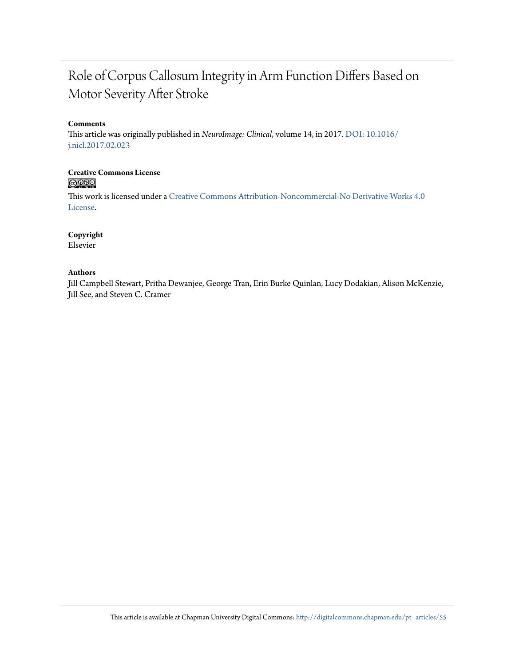# Role of Corpus Callosum Integrity in Arm Function Differs Based on Motor Severity After Stroke

# **Comments**

This article was originally published in *NeuroImage: Clinical*, volume 14, in 2017. [DOI: 10.1016/](http://dx.doi.org/10.1016/j.nicl.2017.02.023) [j.nicl.2017.02.023](http://dx.doi.org/10.1016/j.nicl.2017.02.023)

## **Creative Commons License**  $\bigcirc$   $\circ$

This work is licensed under a [Creative Commons Attribution-Noncommercial-No Derivative Works 4.0](http://creativecommons.org/licenses/by-nc-nd/4.0/) [License.](http://creativecommons.org/licenses/by-nc-nd/4.0/)

# **Copyright**

Elsevier

## **Authors**

Jill Campbell Stewart, Pritha Dewanjee, George Tran, Erin Burke Quinlan, Lucy Dodakian, Alison McKenzie, Jill See, and Steven C. Cramer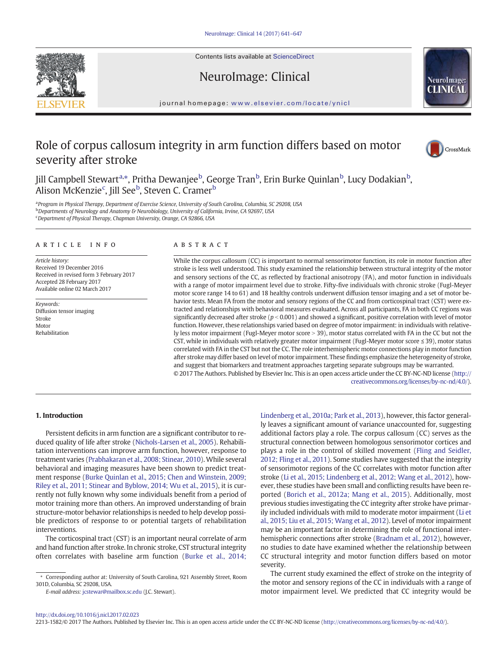Contents lists available at ScienceDirect

NeuroImage: Clinical





journal homepage: <www.elsevier.com/locate/ynicl>

# Role of corpus callosum integrity in arm function differs based on motor severity after stroke



Jill Campbell Stewart<sup>a,</sup>\*, Pritha Dewanjee<sup>b</sup>, George Tran<sup>b</sup>, Erin Burke Quinlan<sup>b</sup>, Lucy Dodakian<sup>b</sup>, Alison McKenzie<sup>c</sup>, Jill See<sup>b</sup>, Steven C. Cramer<sup>b</sup>

<sup>a</sup> Program in Physical Therapy, Department of Exercise Science, University of South Carolina, Columbia, SC 29208, USA <sup>b</sup> Departments of Neurology and Anatomy & Neurobiology, University of California, Irvine, CA 92697, USA <sup>c</sup> Department of Physical Therapy, Chapman University, Orange, CA 92866, USA

#### article info abstract

Article history: Received 19 December 2016 Received in revised form 3 February 2017 Accepted 28 February 2017 Available online 02 March 2017

Keywords: Diffusion tensor imaging Stroke Motor Rehabilitation

While the corpus callosum (CC) is important to normal sensorimotor function, its role in motor function after stroke is less well understood. This study examined the relationship between structural integrity of the motor and sensory sections of the CC, as reflected by fractional anisotropy (FA), and motor function in individuals with a range of motor impairment level due to stroke. Fifty-five individuals with chronic stroke (Fugl-Meyer motor score range 14 to 61) and 18 healthy controls underwent diffusion tensor imaging and a set of motor behavior tests. Mean FA from the motor and sensory regions of the CC and from corticospinal tract (CST) were extracted and relationships with behavioral measures evaluated. Across all participants, FA in both CC regions was significantly decreased after stroke ( $p < 0.001$ ) and showed a significant, positive correlation with level of motor function. However, these relationships varied based on degree of motor impairment: in individuals with relatively less motor impairment (Fugl-Meyer motor score > 39), motor status correlated with FA in the CC but not the CST, while in individuals with relatively greater motor impairment (Fugl-Meyer motor score ≤ 39), motor status correlated with FA in the CST but not the CC. The role interhemispheric motor connections play in motor function after stroke may differ based on level of motor impairment. These findings emphasize the heterogeneity of stroke, and suggest that biomarkers and treatment approaches targeting separate subgroups may be warranted. © 2017 The Authors. Published by Elsevier Inc. This is an open access article under the CC BY-NC-ND license [\(http://](0opyright_ulicense)

[creativecommons.org/licenses/by-nc-nd/4.0/\)](0opyright_ulicense).

#### 1. Introduction

Persistent deficits in arm function are a significant contributor to reduced quality of life after stroke [\(Nichols-Larsen et al., 2005](#page-7-0)). Rehabilitation interventions can improve arm function, however, response to treatment varies [\(Prabhakaran et al., 2008; Stinear, 2010\)](#page-7-0).While several behavioral and imaging measures have been shown to predict treatment response ([Burke Quinlan et al., 2015; Chen and Winstein, 2009;](#page-7-0) [Riley et al., 2011; Stinear and Byblow, 2014; Wu et al., 2015](#page-7-0)), it is currently not fully known why some individuals benefit from a period of motor training more than others. An improved understanding of brain structure-motor behavior relationships is needed to help develop possible predictors of response to or potential targets of rehabilitation interventions.

The corticospinal tract (CST) is an important neural correlate of arm and hand function after stroke. In chronic stroke, CST structural integrity often correlates with baseline arm function [\(Burke et al., 2014;](#page-7-0)

E-mail address: [jcstewar@mailbox.sc.edu](mailto:jcstewar@mailbox.sc.edu) (J.C. Stewart).

[Lindenberg et al., 2010a; Park et al., 2013\)](#page-7-0), however, this factor generally leaves a significant amount of variance unaccounted for, suggesting additional factors play a role. The corpus callosum (CC) serves as the structural connection between homologous sensorimotor cortices and plays a role in the control of skilled movement [\(Fling and Seidler,](#page-7-0) [2012; Fling et al., 2011](#page-7-0)). Some studies have suggested that the integrity of sensorimotor regions of the CC correlates with motor function after stroke [\(Li et al., 2015; Lindenberg et al., 2012; Wang et al., 2012](#page-7-0)), however, these studies have been small and conflicting results have been reported ([Borich et al., 2012a; Mang et al., 2015\)](#page-7-0). Additionally, most previous studies investigating the CC integrity after stroke have primarily included individuals with mild to moderate motor impairment ([Li et](#page-7-0) [al., 2015; Liu et al., 2015; Wang et al., 2012\)](#page-7-0). Level of motor impairment may be an important factor in determining the role of functional interhemispheric connections after stroke [\(Bradnam et al., 2012](#page-7-0)), however, no studies to date have examined whether the relationship between CC structural integrity and motor function differs based on motor severity.

The current study examined the effect of stroke on the integrity of the motor and sensory regions of the CC in individuals with a range of motor impairment level. We predicted that CC integrity would be

2213-1582/© 2017 The Authors. Published by Elsevier Inc. This is an open access article under the CC BY-NC-ND license [\(http://creativecommons.org/licenses/by-nc-nd/4.0/](0opyright_ulicense)).

<sup>⁎</sup> Corresponding author at: University of South Carolina, 921 Assembly Street, Room 301D, Columbia, SC 29208, USA.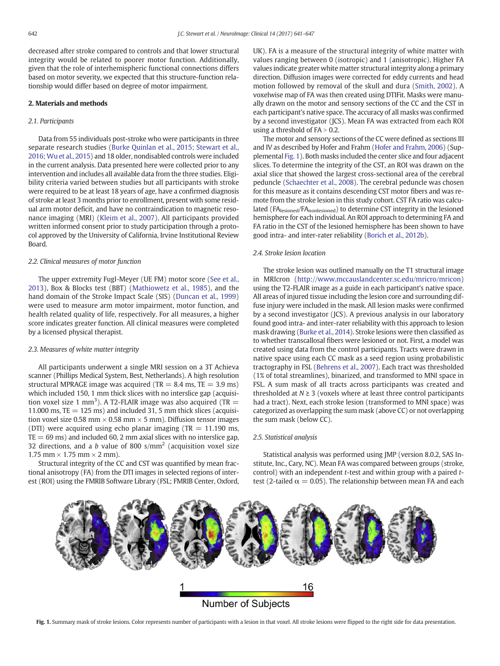<span id="page-3-0"></span>decreased after stroke compared to controls and that lower structural integrity would be related to poorer motor function. Additionally, given that the role of interhemispheric functional connections differs based on motor severity, we expected that this structure-function relationship would differ based on degree of motor impairment.

#### 2. Materials and methods

#### 2.1. Participants

Data from 55 individuals post-stroke who were participants in three separate research studies [\(Burke Quinlan et al., 2015; Stewart et al.,](#page-7-0) [2016; Wu et al., 2015\)](#page-7-0) and 18 older, nondisabled controls were included in the current analysis. Data presented here were collected prior to any intervention and includes all available data from the three studies. Eligibility criteria varied between studies but all participants with stroke were required to be at least 18 years of age, have a confirmed diagnosis of stroke at least 3 months prior to enrollment, present with some residual arm motor deficit, and have no contraindication to magnetic resonance imaging (MRI) ([Kleim et al., 2007](#page-7-0)). All participants provided written informed consent prior to study participation through a protocol approved by the University of California, Irvine Institutional Review Board.

#### 2.2. Clinical measures of motor function

The upper extremity Fugl-Meyer (UE FM) motor score ([See et al.,](#page-7-0) [2013](#page-7-0)), Box & Blocks test (BBT) ([Mathiowetz et al., 1985](#page-7-0)), and the hand domain of the Stroke Impact Scale (SIS) ([Duncan et al., 1999](#page-7-0)) were used to measure arm motor impairment, motor function, and health related quality of life, respectively. For all measures, a higher score indicates greater function. All clinical measures were completed by a licensed physical therapist.

#### 2.3. Measures of white matter integrity

All participants underwent a single MRI session on a 3T Achieva scanner (Phillips Medical System, Best, Netherlands). A high resolution structural MPRAGE image was acquired (TR  $= 8.4$  ms, TE  $= 3.9$  ms) which included 150, 1 mm thick slices with no interslice gap (acquisition voxel size 1 mm<sup>3</sup>). A T2-FLAIR image was also acquired (TR  $=$ 11.000 ms,  $TE = 125$  ms) and included 31, 5 mm thick slices (acquisition voxel size 0.58 mm  $\times$  0.58 mm  $\times$  5 mm). Diffusion tensor images (DTI) were acquired using echo planar imaging (TR  $= 11.190$  ms,  $TE = 69$  ms) and included 60, 2 mm axial slices with no interslice gap, 32 directions, and a b value of 800  $s/mm^2$  (acquisition voxel size 1.75 mm  $\times$  1.75 mm  $\times$  2 mm).

Structural integrity of the CC and CST was quantified by mean fractional anisotropy (FA) from the DTI images in selected regions of interest (ROI) using the FMRIB Software Library (FSL; FMRIB Center, Oxford, UK). FA is a measure of the structural integrity of white matter with values ranging between 0 (isotropic) and 1 (anisotropic). Higher FA values indicate greater white matter structural integrity along a primary direction. Diffusion images were corrected for eddy currents and head motion followed by removal of the skull and dura ([Smith, 2002](#page-8-0)). A voxelwise map of FA was then created using DTIFit. Masks were manually drawn on the motor and sensory sections of the CC and the CST in each participant's native space. The accuracy of all masks was confirmed by a second investigator (JCS). Mean FA was extracted from each ROI using a threshold of  $FA > 0.2$ .

The motor and sensory sections of the CC were defined as sections III and IV as described by Hofer and Frahm ([Hofer and Frahm, 2006\)](#page-7-0) (Supplemental Fig. 1). Both masks included the center slice and four adjacent slices. To determine the integrity of the CST, an ROI was drawn on the axial slice that showed the largest cross-sectional area of the cerebral peduncle [\(Schaechter et al., 2008](#page-7-0)). The cerebral peduncle was chosen for this measure as it contains descending CST motor fibers and was remote from the stroke lesion in this study cohort. CST FA ratio was calculated (FA<sub>lesioned</sub>/FA<sub>nonlesioned</sub>) to determine CST integrity in the lesioned hemisphere for each individual. An ROI approach to determining FA and FA ratio in the CST of the lesioned hemisphere has been shown to have good intra- and inter-rater reliability [\(Borich et al., 2012b](#page-7-0)).

#### 2.4. Stroke lesion location

The stroke lesion was outlined manually on the T1 structural image in MRIcron [\(http://www.mccauslandcenter.sc.edu/mricro/mricon](http://www.mccauslandcenter.sc.edu/mricro/mricon)) using the T2-FLAIR image as a guide in each participant's native space. All areas of injured tissue including the lesion core and surrounding diffuse injury were included in the mask. All lesion masks were confirmed by a second investigator (JCS). A previous analysis in our laboratory found good intra- and inter-rater reliability with this approach to lesion mask drawing ([Burke et al., 2014\)](#page-7-0). Stroke lesions were then classified as to whether transcallosal fibers were lesioned or not. First, a model was created using data from the control participants. Tracts were drawn in native space using each CC mask as a seed region using probabilistic tractography in FSL [\(Behrens et al., 2007\)](#page-7-0). Each tract was thresholded (1% of total streamlines), binarized, and transformed to MNI space in FSL. A sum mask of all tracts across participants was created and thresholded at  $N \geq 3$  (voxels where at least three control participants had a tract). Next, each stroke lesion (transformed to MNI space) was categorized as overlapping the sum mask (above CC) or not overlapping the sum mask (below CC).

#### 2.5. Statistical analysis

Statistical analysis was performed using JMP (version 8.0.2, SAS Institute, Inc., Cary, NC). Mean FA was compared between groups (stroke, control) with an independent t-test and within group with a paired ttest (2-tailed  $\alpha = 0.05$ ). The relationship between mean FA and each



**Number of Subjects** 

Fig. 1. Summary mask of stroke lesions. Color represents number of participants with a lesion in that voxel. All stroke lesions were flipped to the right side for data presentation.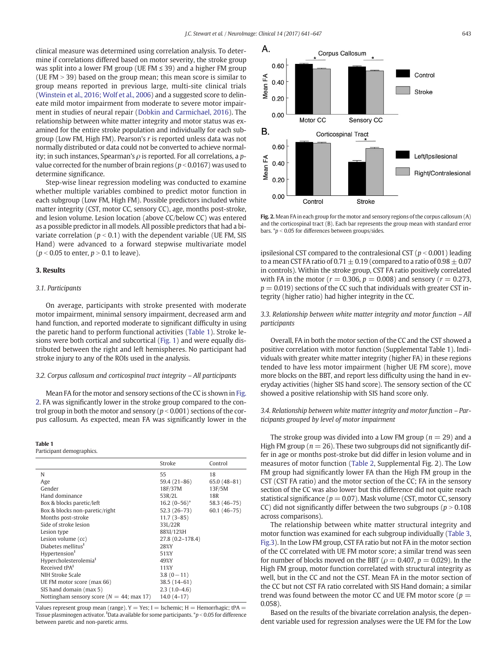clinical measure was determined using correlation analysis. To determine if correlations differed based on motor severity, the stroke group was split into a lower FM group (UE FM ≤ 39) and a higher FM group (UE FM  $>$  39) based on the group mean; this mean score is similar to group means reported in previous large, multi-site clinical trials [\(Winstein et al., 2016; Wolf et al., 2006\)](#page-8-0) and a suggested score to delineate mild motor impairment from moderate to severe motor impairment in studies of neural repair ([Dobkin and Carmichael, 2016\)](#page-7-0). The relationship between white matter integrity and motor status was examined for the entire stroke population and individually for each subgroup (Low FM, High FM). Pearson's r is reported unless data was not normally distributed or data could not be converted to achieve normality; in such instances, Spearman's  $\rho$  is reported. For all correlations, a pvalue corrected for the number of brain regions ( $p < 0.0167$ ) was used to determine significance.

Step-wise linear regression modeling was conducted to examine whether multiple variables combined to predict motor function in each subgroup (Low FM, High FM). Possible predictors included white matter integrity (CST, motor CC, sensory CC), age, months post-stroke, and lesion volume. Lesion location (above CC/below CC) was entered as a possible predictor in all models. All possible predictors that had a bivariate correlation ( $p < 0.1$ ) with the dependent variable (UE FM, SIS Hand) were advanced to a forward stepwise multivariate model  $(p < 0.05$  to enter,  $p > 0.1$  to leave).

#### 3. Results

#### 3.1. Participants

On average, participants with stroke presented with moderate motor impairment, minimal sensory impairment, decreased arm and hand function, and reported moderate to significant difficulty in using the paretic hand to perform functional activities (Table 1). Stroke lesions were both cortical and subcortical [\(Fig. 1](#page-3-0)) and were equally distributed between the right and left hemispheres. No participant had stroke injury to any of the ROIs used in the analysis.

#### 3.2. Corpus callosum and corticospinal tract integrity – All participants

Mean FA for the motor and sensory sections of the CC is shown in Fig. 2. FA was significantly lower in the stroke group compared to the control group in both the motor and sensory ( $p < 0.001$ ) sections of the corpus callosum. As expected, mean FA was significantly lower in the

### Table 1

Participant demographics.

|                                               | Stroke           | Control         |
|-----------------------------------------------|------------------|-----------------|
| N                                             | 55               | 18              |
| Age                                           | 59.4 (21-86)     | $65.0(48-81)$   |
| Gender                                        | 18F/37M          | 13F/5M          |
| Hand dominance                                | 53R/2L           | 18 <sub>R</sub> |
| Box & blocks paretic/left                     | $16.2 (0-56)^*$  | 58.3 (46-75)    |
| Box & blocks non-paretic/right                | $52.3(26-73)$    | $60.1(46-75)$   |
| Months post-stroke                            | $11.7(3-85)$     |                 |
| Side of stroke lesion                         | 33L/22R          |                 |
| Lesion type                                   | 88%I/12%H        |                 |
| Lesion volume (cc)                            | 27.8 (0.2-178.4) |                 |
| Diabetes mellitus <sup>†</sup>                | 28%Y             |                 |
| Hypertension <sup>†</sup>                     | 51%Y             |                 |
| Hypercholesterolemia <sup>t</sup>             | 49%Y             |                 |
| Received tPA <sup>t</sup>                     | 11%Y             |                 |
| NIH Stroke Scale                              | $3.8(0-11)$      |                 |
| UE FM motor score (max 66)                    | 38.5 (14-61)     |                 |
| SIS hand domain (max 5)                       | $2.3(1.0-4.6)$   |                 |
| Nottingham sensory score ( $N = 44$ ; max 17) | $14.0(4-17)$     |                 |

Values represent group mean (range).  $Y = Yes$ ;  $I = Ischemic$ ;  $H = Hemorrhagic$ ; tPA = Tissue plasminogen activator.  $^{\rm t}$ Data available for some participants.  $^{\ast}p$  < 0.05 for difference between paretic and non-paretic arms.



Fig. 2. Mean FA in each group for the motor and sensory regions of the corpus callosum (A) and the corticospinal tract (B). Each bar represents the group mean with standard error bars.  $p < 0.05$  for differences between groups/sides.

ipsilesional CST compared to the contralesional CST ( $p < 0.001$ ) leading to a mean CST FA ratio of 0.71  $\pm$  0.19 (compared to a ratio of 0.98  $\pm$  0.07 in controls). Within the stroke group, CST FA ratio positively correlated with FA in the motor ( $r = 0.306$ ,  $p = 0.008$ ) and sensory ( $r = 0.273$ ,  $p = 0.019$ ) sections of the CC such that individuals with greater CST integrity (higher ratio) had higher integrity in the CC.

#### 3.3. Relationship between white matter integrity and motor function – All participants

Overall, FA in both the motor section of the CC and the CST showed a positive correlation with motor function (Supplemental Table 1). Individuals with greater white matter integrity (higher FA) in these regions tended to have less motor impairment (higher UE FM score), move more blocks on the BBT, and report less difficulty using the hand in everyday activities (higher SIS hand score). The sensory section of the CC showed a positive relationship with SIS hand score only.

#### 3.4. Relationship between white matter integrity and motor function – Participants grouped by level of motor impairment

The stroke group was divided into a Low FM group ( $n = 29$ ) and a High FM group ( $n = 26$ ). These two subgroups did not significantly differ in age or months post-stroke but did differ in lesion volume and in measures of motor function ([Table 2,](#page-5-0) Supplemental Fig. 2). The Low FM group had significantly lower FA than the High FM group in the CST (CST FA ratio) and the motor section of the CC; FA in the sensory section of the CC was also lower but this difference did not quite reach statistical significance ( $p = 0.07$ ). Mask volume (CST, motor CC, sensory CC) did not significantly differ between the two subgroups ( $p > 0.108$ across comparisons).

The relationship between white matter structural integrity and motor function was examined for each subgroup individually [\(Table 3,](#page-5-0) [Fig.3\)](#page-6-0). In the Low FM group, CST FA ratio but not FA in the motor section of the CC correlated with UE FM motor score; a similar trend was seen for number of blocks moved on the BBT ( $\rho = 0.407$ ,  $p = 0.029$ ). In the High FM group, motor function correlated with structural integrity as well, but in the CC and not the CST. Mean FA in the motor section of the CC but not CST FA ratio correlated with SIS Hand domain; a similar trend was found between the motor CC and UE FM motor score ( $p =$ 0.058).

Based on the results of the bivariate correlation analysis, the dependent variable used for regression analyses were the UE FM for the Low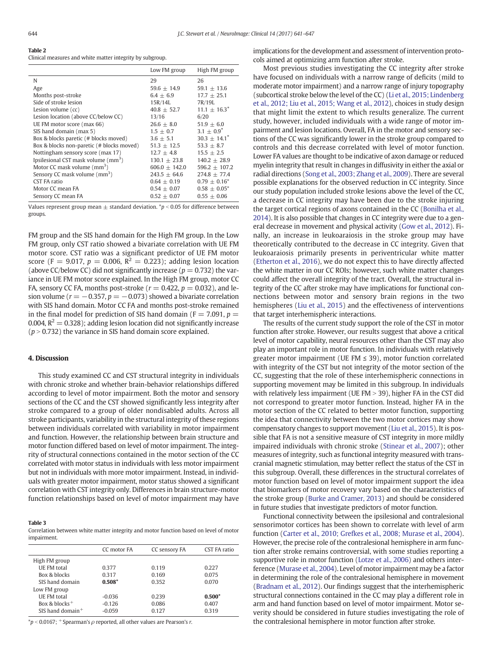<span id="page-5-0"></span>

| Table 2                                                   |  |
|-----------------------------------------------------------|--|
| Clinical measures and white matter integrity by subgroup. |  |

|                                                 | Low FM group    | High FM group     |
|-------------------------------------------------|-----------------|-------------------|
| N                                               | 29              | 26                |
| Age                                             | $59.6 + 14.9$   | $59.1 + 13.6$     |
| Months post-stroke                              | $6.4 + 6.9$     | $17.7 + 25.1$     |
| Side of stroke lesion                           | 15R/14L         | 7R/19L            |
| Lesion volume (cc)                              | $40.8 + 52.7$   | $11.1 + 16.3^*$   |
| Lesion location (above CC/below CC)             | 13/16           | 6/20              |
| UE FM motor score (max 66)                      | $26.6 + 8.0$    | $51.9 \pm 6.0$    |
| SIS hand domain (max 5)                         | $1.5 + 0.7$     | $3.1 + 0.9^*$     |
| Box & blocks paretic (# blocks moved)           | $3.6 + 5.1$     | $30.3 + 14.1^*$   |
| Box & blocks non-paretic (# blocks moved)       | $51.3 + 12.5$   | $53.3 + 8.7$      |
| Nottingham sensory score (max 17)               | $12.7 + 4.8$    | $15.5 + 2.5$      |
| Ipsilesional CST mask volume (mm <sup>3</sup> ) | $130.1 + 23.8$  | $140.2 + 28.9$    |
| Motor CC mask volume $\rm (mm^3)$               | $606.0 + 142.0$ | 596.2 $\pm$ 107.2 |
| Sensory CC mask volume (mm <sup>3</sup> )       | $243.5 + 64.6$  | $274.8 + 77.4$    |
| CST FA ratio                                    | $0.64 + 0.19$   | $0.79 + 0.16^*$   |
| Motor CC mean FA                                | $0.54 + 0.07$   | $0.58 + 0.05^*$   |
| Sensory CC mean FA                              | $0.52 + 0.07$   | $0.55 + 0.06$     |

Values represent group mean  $\pm$  standard deviation. \*p < 0.05 for difference between groups.

FM group and the SIS hand domain for the High FM group. In the Low FM group, only CST ratio showed a bivariate correlation with UE FM motor score. CST ratio was a significant predictor of UE FM motor score (F = 9.017,  $p = 0.006$ ,  $R^2 = 0.223$ ); adding lesion location (above CC/below CC) did not significantly increase ( $p = 0.732$ ) the variance in UE FM motor score explained. In the High FM group, motor CC FA, sensory CC FA, months post-stroke ( $r = 0.422$ ,  $p = 0.032$ ), and lesion volume ( $r = -0.357$ ,  $p = -0.073$ ) showed a bivariate correlation with SIS hand domain. Motor CC FA and months post-stroke remained in the final model for prediction of SIS hand domain ( $F = 7.091$ ,  $p =$ 0.004,  $R^2 = 0.328$ ); adding lesion location did not significantly increase  $(p > 0.732)$  the variance in SIS hand domain score explained.

#### 4. Discussion

This study examined CC and CST structural integrity in individuals with chronic stroke and whether brain-behavior relationships differed according to level of motor impairment. Both the motor and sensory sections of the CC and the CST showed significantly less integrity after stroke compared to a group of older nondisabled adults. Across all stroke participants, variability in the structural integrity of these regions between individuals correlated with variability in motor impairment and function. However, the relationship between brain structure and motor function differed based on level of motor impairment. The integrity of structural connections contained in the motor section of the CC correlated with motor status in individuals with less motor impairment but not in individuals with more motor impairment. Instead, in individuals with greater motor impairment, motor status showed a significant correlation with CST integrity only. Differences in brain structure-motor function relationships based on level of motor impairment may have

#### Table 3

Correlation between white matter integrity and motor function based on level of motor impairment.

|                                | CC motor FA | CC sensory FA | CST FA ratio |
|--------------------------------|-------------|---------------|--------------|
| High FM group                  |             |               |              |
| <b>UE FM</b> total             | 0.377       | 0.119         | 0.227        |
| Box & blocks                   | 0.317       | 0.169         | 0.075        |
| SIS hand domain                | $0.508*$    | 0.352         | 0.070        |
| Low FM group                   |             |               |              |
| <b>UE FM</b> total             | $-0.036$    | 0.239         | $0.500*$     |
| Box & blocks <sup>+</sup>      | $-0.126$    | 0.086         | 0.407        |
| $SIS$ hand domain <sup>+</sup> | $-0.059$    | 0.127         | 0.319        |
|                                |             |               |              |

 $*p < 0.0167$ ;  $*$ Spearman's  $\rho$  reported, all other values are Pearson's r.

implications for the development and assessment of intervention protocols aimed at optimizing arm function after stroke.

Most previous studies investigating the CC integrity after stroke have focused on individuals with a narrow range of deficits (mild to moderate motor impairment) and a narrow range of injury topography (subcortical stroke below the level of the CC) [\(Li et al., 2015; Lindenberg](#page-7-0) [et al., 2012; Liu et al., 2015; Wang et al., 2012](#page-7-0)), choices in study design that might limit the extent to which results generalize. The current study, however, included individuals with a wide range of motor impairment and lesion locations. Overall, FA in the motor and sensory sections of the CC was significantly lower in the stroke group compared to controls and this decrease correlated with level of motor function. Lower FA values are thought to be indicative of axon damage or reduced myelin integrity that result in changes in diffusivity in either the axial or radial directions ([Song et al., 2003; Zhang et al., 2009](#page-8-0)). There are several possible explanations for the observed reduction in CC integrity. Since our study population included stroke lesions above the level of the CC, a decrease in CC integrity may have been due to the stroke injuring the target cortical regions of axons contained in the CC [\(Bonilha et al.,](#page-7-0) [2014\)](#page-7-0). It is also possible that changes in CC integrity were due to a general decrease in movement and physical activity ([Gow et al., 2012](#page-7-0)). Finally, an increase in leukoaraiosis in the stroke group may have theoretically contributed to the decrease in CC integrity. Given that leukoaraiosis primarily presents in periventricular white matter [\(Etherton et al., 2016](#page-7-0)), we do not expect this to have directly affected the white matter in our CC ROIs; however, such white matter changes could affect the overall integrity of the tract. Overall, the structural integrity of the CC after stroke may have implications for functional connections between motor and sensory brain regions in the two hemispheres ([Liu et al., 2015](#page-7-0)) and the effectiveness of interventions that target interhemispheric interactions.

The results of the current study support the role of the CST in motor function after stroke. However, our results suggest that above a critical level of motor capability, neural resources other than the CST may also play an important role in motor function. In individuals with relatively greater motor impairment (UE FM ≤ 39), motor function correlated with integrity of the CST but not integrity of the motor section of the CC, suggesting that the role of these interhemispheric connections in supporting movement may be limited in this subgroup. In individuals with relatively less impairment (UE FM  $>$  39), higher FA in the CST did not correspond to greater motor function. Instead, higher FA in the motor section of the CC related to better motor function, supporting the idea that connectivity between the two motor cortices may show compensatory changes to support movement [\(Liu et al., 2015](#page-7-0)). It is possible that FA is not a sensitive measure of CST integrity in more mildly impaired individuals with chronic stroke ([Stinear et al., 2007\)](#page-8-0); other measures of integrity, such as functional integrity measured with transcranial magnetic stimulation, may better reflect the status of the CST in this subgroup. Overall, these differences in the structural correlates of motor function based on level of motor impairment support the idea that biomarkers of motor recovery vary based on the characteristics of the stroke group [\(Burke and Cramer, 2013\)](#page-7-0) and should be considered in future studies that investigate predictors of motor function.

Functional connectivity between the ipsilesional and contralesional sensorimotor cortices has been shown to correlate with level of arm function [\(Carter et al., 2010; Grefkes et al., 2008; Murase et al., 2004](#page-7-0)). However, the precise role of the contralesional hemisphere in arm function after stroke remains controversial, with some studies reporting a supportive role in motor function ([Lotze et al., 2006\)](#page-7-0) and others interference ([Murase et al., 2004](#page-7-0)). Level of motor impairment may be a factor in determining the role of the contralesional hemisphere in movement [\(Bradnam et al., 2012\)](#page-7-0). Our findings suggest that the interhemispheric structural connections contained in the CC may play a different role in arm and hand function based on level of motor impairment. Motor severity should be considered in future studies investigating the role of the contralesional hemisphere in motor function after stroke.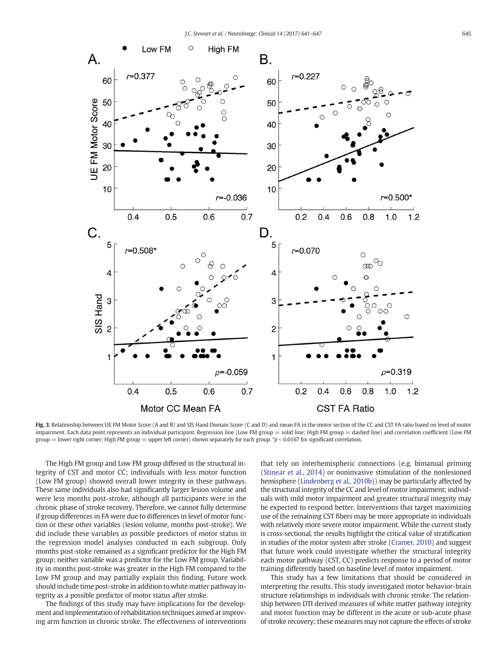<span id="page-6-0"></span>

Fig. 3. Relationship between UE FM Motor Score (A and B) and SIS Hand Domain Score (C and D) and mean FA in the motor section of the CC and CST FA ratio based on level of motor impairment. Each data point represents an individual participant. Regression line (Low FM group = solid line; High FM group = dashed line) and correlation coefficient (Low FM group = lower right corner; High FM group = upper left corner) shown separately for each group.  $\gamma p < 0.0167$  for significant correlation.

The High FM group and Low FM group differed in the structural integrity of CST and motor CC; individuals with less motor function (Low FM group) showed overall lower integrity in these pathways. These same individuals also had significantly larger lesion volume and were less months post-stroke, although all participants were in the chronic phase of stroke recovery. Therefore, we cannot fully determine if group differences in FA were due to differences in level of motor function or these other variables (lesion volume, months post-stroke). We did include these variables as possible predictors of motor status in the regression model analyses conducted in each subgroup. Only months post-stoke remained as a significant predictor for the High FM group; neither variable was a predictor for the Low FM group. Variability in months post-stroke was greater in the High FM compared to the Low FM group and may partially explain this finding. Future work should include time post-stroke in addition to white matter pathway integrity as a possible predictor of motor status after stroke.

The findings of this study may have implications for the development and implementation of rehabilitation techniques aimed at improving arm function in chronic stroke. The effectiveness of interventions that rely on interhemispheric connections (e.g. bimanual priming [\(Stinear et al., 2014\)](#page-8-0) or noninvasive stimulation of the nonlesioned hemisphere [\(Lindenberg et al., 2010b\)](#page-7-0)) may be particularly affected by the structural integrity of the CC and level of motor impairment; individuals with mild motor impairment and greater structural integrity may be expected to respond better. Interventions that target maximizing use of the remaining CST fibers may be more appropriate in individuals with relatively more severe motor impairment. While the current study is cross-sectional, the results highlight the critical value of stratification in studies of the motor system after stroke [\(Cramer, 2010\)](#page-7-0) and suggest that future work could investigate whether the structural integrity each motor pathway (CST, CC) predicts response to a period of motor training differently based on baseline level of motor impairment.

This study has a few limitations that should be considered in interpreting the results. This study investigated motor behavior-brain structure relationships in individuals with chronic stroke. The relationship between DTI derived measures of white matter pathway integrity and motor function may be different in the acute or sub-acute phase of stroke recovery; these measures may not capture the effects of stroke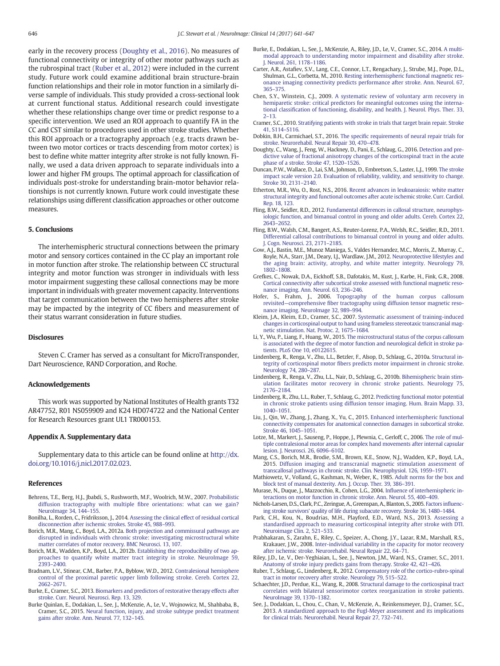<span id="page-7-0"></span>early in the recovery process (Doughty et al., 2016). No measures of functional connectivity or integrity of other motor pathways such as the rubrospinal tract (Ruber et al., 2012) were included in the current study. Future work could examine additional brain structure-brain function relationships and their role in motor function in a similarly diverse sample of individuals. This study provided a cross-sectional look at current functional status. Additional research could investigate whether these relationships change over time or predict response to a specific intervention. We used an ROI approach to quantify FA in the CC and CST similar to procedures used in other stroke studies. Whether this ROI approach or a tractography approach (e.g. tracts drawn between two motor cortices or tracts descending from motor cortex) is best to define white matter integrity after stroke is not fully known. Finally, we used a data driven approach to separate individuals into a lower and higher FM groups. The optimal approach for classification of individuals post-stroke for understanding brain-motor behavior relationships is not currently known. Future work could investigate these relationships using different classification approaches or other outcome measures.

#### 5. Conclusions

The interhemispheric structural connections between the primary motor and sensory cortices contained in the CC play an important role in motor function after stroke. The relationship between CC structural integrity and motor function was stronger in individuals with less motor impairment suggesting these callosal connections may be more important in individuals with greater movement capacity. Interventions that target communication between the two hemispheres after stroke may be impacted by the integrity of CC fibers and measurement of their status warrant consideration in future studies.

#### **Disclosures**

Steven C. Cramer has served as a consultant for MicroTransponder, Dart Neuroscience, RAND Corporation, and Roche.

#### Acknowledgements

This work was supported by National Institutes of Health grants T32 AR47752, R01 NS059909 and K24 HD074722 and the National Center for Research Resources grant UL1 TR000153.

#### Appendix A. Supplementary data

Supplementary data to this article can be found online at [http://dx.](http://dx.doi.org/10.1016/j.nicl.2017.02.023) [doi.org/10.1016/j.nicl.2017.02.023](http://dx.doi.org/10.1016/j.nicl.2017.02.023).

#### References

- Behrens, T.E., Berg, H.J., Jbabdi, S., Rushworth, M.F., Woolrich, M.W., 2007. [Probabilistic](http://refhub.elsevier.com/S2213-1582(17)30057-8/rf0005) diffusion tractography with multiple fi[bre orientations: what can we gain?](http://refhub.elsevier.com/S2213-1582(17)30057-8/rf0005) [NeuroImage 34, 144](http://refhub.elsevier.com/S2213-1582(17)30057-8/rf0005)–155.
- Bonilha, L., Rorden, C., Fridriksson, J., 2014. [Assessing the clinical effect of residual cortical](http://refhub.elsevier.com/S2213-1582(17)30057-8/rf0010) [disconnection after ischemic strokes. Stroke 45, 988](http://refhub.elsevier.com/S2213-1582(17)30057-8/rf0010)–993.
- Borich, M.R., Mang, C., Boyd, L.A., 2012a. [Both projection and commissural pathways are](http://refhub.elsevier.com/S2213-1582(17)30057-8/rf0015) [disrupted in individuals with chronic stroke: investigating microstructural white](http://refhub.elsevier.com/S2213-1582(17)30057-8/rf0015) [matter correlates of motor recovery. BMC Neurosci. 13, 107.](http://refhub.elsevier.com/S2213-1582(17)30057-8/rf0015)
- Borich, M.R., Wadden, K.P., Boyd, L.A., 2012b. [Establishing the reproducibility of two ap](http://refhub.elsevier.com/S2213-1582(17)30057-8/rf0020)[proaches to quantify white matter tract integrity in stroke. NeuroImage 59,](http://refhub.elsevier.com/S2213-1582(17)30057-8/rf0020) 2393–[2400.](http://refhub.elsevier.com/S2213-1582(17)30057-8/rf0020)
- Bradnam, L.V., Stinear, C.M., Barber, P.A., Byblow, W.D., 2012. [Contralesional hemisphere](http://refhub.elsevier.com/S2213-1582(17)30057-8/rf0025) [control of the proximal paretic upper limb following stroke. Cereb. Cortex 22,](http://refhub.elsevier.com/S2213-1582(17)30057-8/rf0025) 2662–[2671.](http://refhub.elsevier.com/S2213-1582(17)30057-8/rf0025)
- Burke, E., Cramer, S.C., 2013. [Biomarkers and predictors of restorative therapy effects after](http://refhub.elsevier.com/S2213-1582(17)30057-8/rf0030) [stroke. Curr. Neurol. Neurosci. Rep. 13, 329.](http://refhub.elsevier.com/S2213-1582(17)30057-8/rf0030)
- Burke Quinlan, E., Dodakian, L., See, J., McKenzie, A., Le, V., Wojnowicz, M., Shahbaba, B., Cramer, S.C., 2015. [Neural function, injury, and stroke subtype predict treatment](http://refhub.elsevier.com/S2213-1582(17)30057-8/rf0035) [gains after stroke. Ann. Neurol. 77, 132](http://refhub.elsevier.com/S2213-1582(17)30057-8/rf0035)–145.
- Burke, E., Dodakian, L., See, J., McKenzie, A., Riley, J.D., Le, V., Cramer, S.C., 2014. [A multi](http://refhub.elsevier.com/S2213-1582(17)30057-8/rf0040)[modal approach to understanding motor impairment and disability after stroke.](http://refhub.elsevier.com/S2213-1582(17)30057-8/rf0040) [J. Neurol. 261, 1178](http://refhub.elsevier.com/S2213-1582(17)30057-8/rf0040)–1186.
- Carter, A.R., Astafiev, S.V., Lang, C.E., Connor, L.T., Rengachary, J., Strube, M.J., Pope, D.L., Shulman, G.L., Corbetta, M., 2010. [Resting interhemispheric functional magnetic res](http://refhub.elsevier.com/S2213-1582(17)30057-8/rf0045)[onance imaging connectivity predicts performance after stroke. Ann. Neurol. 67,](http://refhub.elsevier.com/S2213-1582(17)30057-8/rf0045) 365–[375.](http://refhub.elsevier.com/S2213-1582(17)30057-8/rf0045)
- Chen, S.Y., Winstein, C.J., 2009. [A systematic review of voluntary arm recovery in](http://refhub.elsevier.com/S2213-1582(17)30057-8/rf0050) [hemiparetic stroke: critical predictors for meaningful outcomes using the interna](http://refhub.elsevier.com/S2213-1582(17)30057-8/rf0050)tional classifi[cation of functioning, disability, and health. J. Neurol. Phys. Ther. 33,](http://refhub.elsevier.com/S2213-1582(17)30057-8/rf0050) 2–[13.](http://refhub.elsevier.com/S2213-1582(17)30057-8/rf0050)
- Cramer, S.C., 2010. [Stratifying patients with stroke in trials that target brain repair. Stroke](http://refhub.elsevier.com/S2213-1582(17)30057-8/rf0055) [41, S114](http://refhub.elsevier.com/S2213-1582(17)30057-8/rf0055)–S116.
- Dobkin, B.H., Carmichael, S.T., 2016. The specifi[c requirements of neural repair trials for](http://refhub.elsevier.com/S2213-1582(17)30057-8/rf0060) [stroke. Neurorehabil. Neural Repair 30, 470](http://refhub.elsevier.com/S2213-1582(17)30057-8/rf0060)–478.
- Doughty, C., Wang, J., Feng, W., Hackney, D., Pani, E., Schlaug, G., 2016. [Detection and pre](http://refhub.elsevier.com/S2213-1582(17)30057-8/rf0065)[dictive value of fractional anisotropy changes of the corticospinal tract in the acute](http://refhub.elsevier.com/S2213-1582(17)30057-8/rf0065) [phase of a stroke. Stroke 47, 1520](http://refhub.elsevier.com/S2213-1582(17)30057-8/rf0065)–1526.
- Duncan, P.W., Wallace, D., Lai, S.M., Johnson, D., Embretson, S., Laster, L.J., 1999. [The stroke](http://refhub.elsevier.com/S2213-1582(17)30057-8/rf0070) [impact scale version 2.0. Evaluation of reliability, validity, and sensitivity to change.](http://refhub.elsevier.com/S2213-1582(17)30057-8/rf0070) [Stroke 30, 2131](http://refhub.elsevier.com/S2213-1582(17)30057-8/rf0070)–2140.
- Etherton, M.R., Wu, O., Rost, N.S., 2016. [Recent advances in leukoaraiosis: white matter](http://refhub.elsevier.com/S2213-1582(17)30057-8/rf0075) [structural integrity and functional outcomes after acute ischemic stroke. Curr. Cardiol.](http://refhub.elsevier.com/S2213-1582(17)30057-8/rf0075) [Rep. 18, 123.](http://refhub.elsevier.com/S2213-1582(17)30057-8/rf0075)
- Fling, B.W., Seidler, R.D., 2012. [Fundamental differences in callosal structure, neurophys](http://refhub.elsevier.com/S2213-1582(17)30057-8/rf0080)[iologic function, and bimanual control in young and older adults. Cereb. Cortex 22,](http://refhub.elsevier.com/S2213-1582(17)30057-8/rf0080) 2643–[2652.](http://refhub.elsevier.com/S2213-1582(17)30057-8/rf0080)
- Fling, B.W., Walsh, C.M., Bangert, A.S., Reuter-Lorenz, P.A., Welsh, R.C., Seidler, R.D., 2011. [Differential callosal contributions to bimanual control in young and older adults.](http://refhub.elsevier.com/S2213-1582(17)30057-8/rf0085) [J. Cogn. Neurosci. 23, 2171](http://refhub.elsevier.com/S2213-1582(17)30057-8/rf0085)–2185.
- Gow, A.J., Bastin, M.E., Munoz Maniega, S., Valdes Hernandez, M.C., Morris, Z., Murray, C., Royle, N.A., Starr, J.M., Deary, I.J., Wardlaw, J.M., 2012. [Neuroprotective lifestyles and](http://refhub.elsevier.com/S2213-1582(17)30057-8/rf0090) [the aging brain: activity, atrophy, and white matter integrity. Neurology 79,](http://refhub.elsevier.com/S2213-1582(17)30057-8/rf0090) 1802–[1808.](http://refhub.elsevier.com/S2213-1582(17)30057-8/rf0090)
- Grefkes, C., Nowak, D.A., Eickhoff, S.B., Dafotakis, M., Kust, J., Karbe, H., Fink, G.R., 2008. [Cortical connectivity after subcortical stroke assessed with functional magnetic reso](http://refhub.elsevier.com/S2213-1582(17)30057-8/rf0095)[nance imaging. Ann. Neurol. 63, 236](http://refhub.elsevier.com/S2213-1582(17)30057-8/rf0095)–246.
- Hofer, S., Frahm, J., 2006. [Topography of the human corpus callosum](http://refhub.elsevier.com/S2213-1582(17)30057-8/rf0100) revisited—comprehensive fi[ber tractography using diffusion tensor magnetic reso](http://refhub.elsevier.com/S2213-1582(17)30057-8/rf0100)[nance imaging. NeuroImage 32, 989](http://refhub.elsevier.com/S2213-1582(17)30057-8/rf0100)–994.
- Kleim, J.A., Kleim, E.D., Cramer, S.C., 2007. [Systematic assessment of training-induced](http://refhub.elsevier.com/S2213-1582(17)30057-8/rf0105) [changes in corticospinal output to hand using frameless stereotaxic transcranial mag](http://refhub.elsevier.com/S2213-1582(17)30057-8/rf0105)[netic stimulation. Nat. Protoc. 2, 1675](http://refhub.elsevier.com/S2213-1582(17)30057-8/rf0105)–1684.
- Li, Y., Wu, P., Liang, F., Huang, W., 2015. [The microstructural status of the corpus callosum](http://refhub.elsevier.com/S2213-1582(17)30057-8/rf0110) [is associated with the degree of motor function and neurological de](http://refhub.elsevier.com/S2213-1582(17)30057-8/rf0110)ficit in stroke pa[tients. PLoS One 10, e0122615.](http://refhub.elsevier.com/S2213-1582(17)30057-8/rf0110)
- Lindenberg, R., Renga, V., Zhu, L.L., Betzler, F., Alsop, D., Schlaug, G., 2010a. [Structural in](http://refhub.elsevier.com/S2213-1582(17)30057-8/rf0115)tegrity of corticospinal motor fi[bers predicts motor impairment in chronic stroke.](http://refhub.elsevier.com/S2213-1582(17)30057-8/rf0115) [Neurology 74, 280](http://refhub.elsevier.com/S2213-1582(17)30057-8/rf0115)–287.
- Lindenberg, R., Renga, V., Zhu, L.L., Nair, D., Schlaug, G., 2010b. [Bihemispheric brain stim](http://refhub.elsevier.com/S2213-1582(17)30057-8/rf0120)[ulation facilitates motor recovery in chronic stroke patients. Neurology 75,](http://refhub.elsevier.com/S2213-1582(17)30057-8/rf0120) 2176–[2184.](http://refhub.elsevier.com/S2213-1582(17)30057-8/rf0120)
- Lindenberg, R., Zhu, L.L., Ruber, T., Schlaug, G., 2012. [Predicting functional motor potential](http://refhub.elsevier.com/S2213-1582(17)30057-8/rf0125) [in chronic stroke patients using diffusion tensor imaging. Hum. Brain Mapp. 33,](http://refhub.elsevier.com/S2213-1582(17)30057-8/rf0125) 1040–[1051.](http://refhub.elsevier.com/S2213-1582(17)30057-8/rf0125)
- Liu, J., Qin, W., Zhang, J., Zhang, X., Yu, C., 2015. [Enhanced interhemispheric functional](http://refhub.elsevier.com/S2213-1582(17)30057-8/rf0130) [connectivity compensates for anatomical connection damages in subcortical stroke.](http://refhub.elsevier.com/S2213-1582(17)30057-8/rf0130) [Stroke 46, 1045](http://refhub.elsevier.com/S2213-1582(17)30057-8/rf0130)–1051.
- Lotze, M., Markert, J., Sauseng, P., Hoppe, J., Plewnia, C., Gerloff, C., 2006. [The role of mul](http://refhub.elsevier.com/S2213-1582(17)30057-8/rf0135)[tiple contralesional motor areas for complex hand movements after internal capsular](http://refhub.elsevier.com/S2213-1582(17)30057-8/rf0135) [lesion. J. Neurosci. 26, 6096](http://refhub.elsevier.com/S2213-1582(17)30057-8/rf0135)–6102.
- Mang, C.S., Borich, M.R., Brodie, S.M., Brown, K.E., Snow, N.J., Wadden, K.P., Boyd, L.A., 2015. [Diffusion imaging and transcranial magnetic stimulation assessment of](http://refhub.elsevier.com/S2213-1582(17)30057-8/rf0140) [transcallosal pathways in chronic stroke. Clin. Neurophysiol. 126, 1959](http://refhub.elsevier.com/S2213-1582(17)30057-8/rf0140)–1971.
- Mathiowetz, V., Volland, G., Kashman, N., Weber, K., 1985. [Adult norms for the box and](http://refhub.elsevier.com/S2213-1582(17)30057-8/rf0145) [block test of manual dexterity. Am. J. Occup. Ther. 39, 386](http://refhub.elsevier.com/S2213-1582(17)30057-8/rf0145)–391.
- Murase, N., Duque, J., Mazzocchio, R., Cohen, L.G., 2004. Infl[uence of interhemispheric in](http://refhub.elsevier.com/S2213-1582(17)30057-8/rf0150)[teractions on motor function in chronic stroke. Ann. Neurol. 55, 400](http://refhub.elsevier.com/S2213-1582(17)30057-8/rf0150)–409.
- Nichols-Larsen, D.S., Clark, P.C., Zeringue, A., Greenspan, A., Blanton, S., 2005. [Factors in](http://refhub.elsevier.com/S2213-1582(17)30057-8/rf0155)fluenc[ing stroke survivors' quality of life during subacute recovery. Stroke 36, 1480](http://refhub.elsevier.com/S2213-1582(17)30057-8/rf0155)–1484.
- Park, C.H., Kou, N., Boudrias, M.H., Playford, E.D., Ward, N.S., 2013. [Assessing a](http://refhub.elsevier.com/S2213-1582(17)30057-8/rf0160) [standardised approach to measuring corticospinal integrity after stroke with DTI.](http://refhub.elsevier.com/S2213-1582(17)30057-8/rf0160) [Neuroimage Clin. 2, 521](http://refhub.elsevier.com/S2213-1582(17)30057-8/rf0160)–533.
- Prabhakaran, S., Zarahn, E., Riley, C., Speizer, A., Chong, J.Y., Lazar, R.M., Marshall, R.S., Krakauer, J.W., 2008. [Inter-individual variability in the capacity for motor recovery](http://refhub.elsevier.com/S2213-1582(17)30057-8/rf0165) [after ischemic stroke. Neurorehabil. Neural Repair 22, 64](http://refhub.elsevier.com/S2213-1582(17)30057-8/rf0165)–71.
- Riley, J.D., Le, V., Der-Yeghiaian, L., See, J., Newton, J.M., Ward, N.S., Cramer, S.C., 2011. [Anatomy of stroke injury predicts gains from therapy. Stroke 42, 421](http://refhub.elsevier.com/S2213-1582(17)30057-8/rf0170)–426.
- Ruber, T., Schlaug, G., Lindenberg, R., 2012. [Compensatory role of the cortico-rubro-spinal](http://refhub.elsevier.com/S2213-1582(17)30057-8/rf0175) [tract in motor recovery after stroke. Neurology 79, 515](http://refhub.elsevier.com/S2213-1582(17)30057-8/rf0175)–522.
- Schaechter, J.D., Perdue, K.L., Wang, R., 2008. [Structural damage to the corticospinal tract](http://refhub.elsevier.com/S2213-1582(17)30057-8/rf0180) [correlates with bilateral sensorimotor cortex reorganization in stroke patients.](http://refhub.elsevier.com/S2213-1582(17)30057-8/rf0180) [NeuroImage 39, 1370](http://refhub.elsevier.com/S2213-1582(17)30057-8/rf0180)–1382.
- See, J., Dodakian, L., Chou, C., Chan, V., McKenzie, A., Reinkensmeyer, D.J., Cramer, S.C., 2013. [A standardized approach to the Fugl-Meyer assessment and its implications](http://refhub.elsevier.com/S2213-1582(17)30057-8/rf0185) [for clinical trials. Neurorehabil. Neural Repair 27, 732](http://refhub.elsevier.com/S2213-1582(17)30057-8/rf0185)–741.